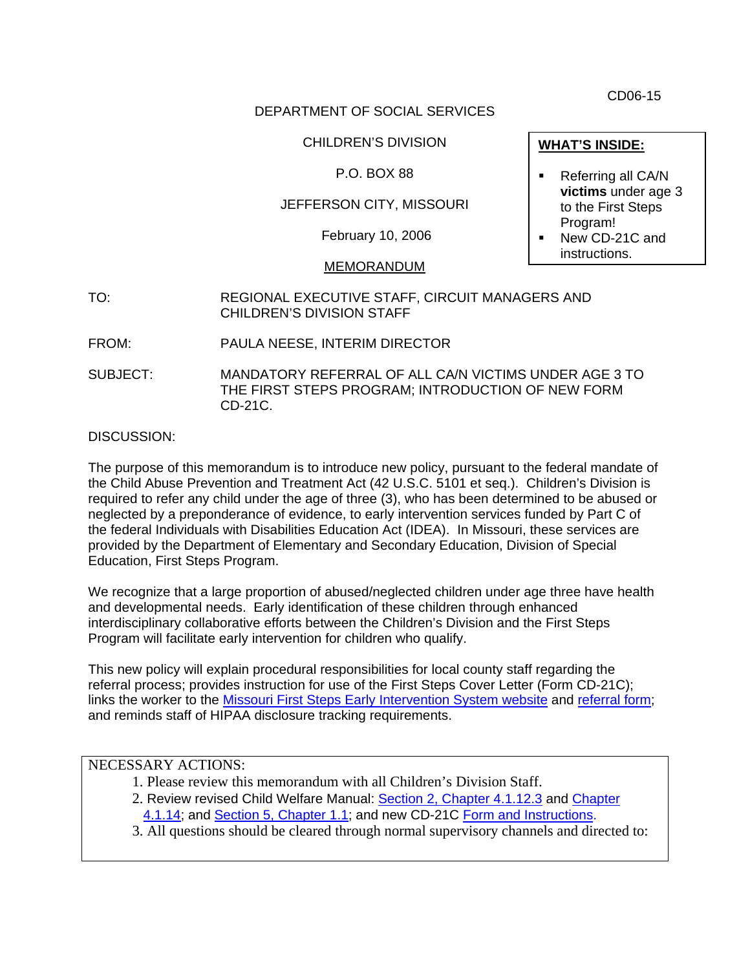CD06-15

#### DEPARTMENT OF SOCIAL SERVICES

CHILDREN'S DIVISION

### P.O. BOX 88

# JEFFERSON CITY, MISSOURI

February 10, 2006

#### MEMORANDUM

- TO: REGIONAL EXECUTIVE STAFF, CIRCUIT MANAGERS AND CHILDREN'S DIVISION STAFF
- FROM: PAULA NEESE, INTERIM DIRECTOR
- SUBJECT: MANDATORY REFERRAL OF ALL CA/N VICTIMS UNDER AGE 3 TO THE FIRST STEPS PROGRAM; INTRODUCTION OF NEW FORM CD-21C.

DISCUSSION:

The purpose of this memorandum is to introduce new policy, pursuant to the federal mandate of the Child Abuse Prevention and Treatment Act (42 U.S.C. 5101 et seq.). Children's Division is required to refer any child under the age of three (3), who has been determined to be abused or neglected by a preponderance of evidence, to early intervention services funded by Part C of the federal Individuals with Disabilities Education Act (IDEA). In Missouri, these services are provided by the Department of Elementary and Secondary Education, Division of Special Education, First Steps Program.

We recognize that a large proportion of abused/neglected children under age three have health and developmental needs. Early identification of these children through enhanced interdisciplinary collaborative efforts between the Children's Division and the First Steps Program will facilitate early intervention for children who qualify.

This new policy will explain procedural responsibilities for local county staff regarding the referral process; provides instruction for use of the First Steps Cover Letter (Form CD-21C); links the worker to the **Missouri First Steps Early Intervention System website** and [referral form;](http://www.dese.mo.gov/divspeced/FirstSteps/pdfs/Forms/GeneralRefFrm.pdf) and reminds staff of HIPAA disclosure tracking requirements.

# NECESSARY ACTIONS:

- 1. Please review this memorandum with all Children's Division Staff.
- 2. Review revised Child Welfare Manual: [Section 2, Chapter 4.1.12.3](http://www.dss.mo.gov/cd/info/cwmanual/section2/ch4/sec2ch4sub1_12.htm) and Chapter [4.1.14;](http://www.dss.mo.gov/cd/info/cwmanual/section2/ch4/sec2ch4sub1_14.htm) and [Section 5, Chapter 1.1;](http://www.dss.mo.gov/cd/info/cwmanual/section5/ch1/sec5ch1sub1.htm) and new CD-21C Form and [Instructions](http://www.dss.mo.gov/cd/info/forms/index.htm).
- 3. All questions should be cleared through normal supervisory channels and directed to:
- Referring all CA/N **victims** under age 3 to the First Steps Program!
- New CD-21C and instructions.

**WHAT'S INSIDE:**